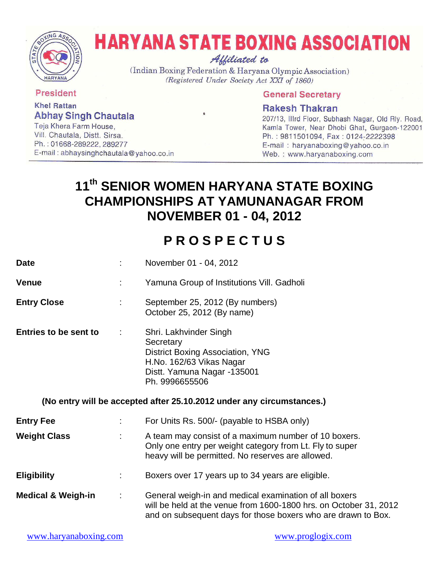

# **HARYANA STATE BOXING ASSOCIATION** Affiliated to

(Indian Boxing Federation & Haryana Olympic Association) (Registered Under Society Act XXI of 1860)

**President** 

**Khel Rattan Abhay Singh Chautala** 

Teja Khera Farm House, Vill. Chautala, Distt. Sirsa. Ph.: 01668-289222, 289277 E-mail: abhaysinghchautala@yahoo.co.in

## **General Secretary**

## **Rakesh Thakran**

207/13, Illrd Floor, Subhash Nagar, Old Rly. Road, Kamla Tower, Near Dhobi Ghat, Gurgaon-122001 Ph.: 9811501094, Fax: 0124-2222398 E-mail: haryanaboxing@yahoo.co.in Web.: www.haryanaboxing.com

## **11th SENIOR WOMEN HARYANA STATE BOXING CHAMPIONSHIPS AT YAMUNANAGAR FROM NOVEMBER 01 - 04, 2012**

# **P R O S P E C T U S**

| <b>Date</b>                   |                                                 | November 01 - 04, 2012                                                                                                                                                                                                        |  |  |
|-------------------------------|-------------------------------------------------|-------------------------------------------------------------------------------------------------------------------------------------------------------------------------------------------------------------------------------|--|--|
| <b>Venue</b>                  |                                                 | Yamuna Group of Institutions Vill. Gadholi                                                                                                                                                                                    |  |  |
| <b>Entry Close</b>            | t.                                              | September 25, 2012 (By numbers)<br>October 25, 2012 (By name)                                                                                                                                                                 |  |  |
| <b>Entries to be sent to</b>  | ÷.                                              | Shri. Lakhvinder Singh<br>Secretary<br>District Boxing Association, YNG<br>H.No. 162/63 Vikas Nagar<br>Distt. Yamuna Nagar -135001<br>Ph. 9996655506<br>(No entry will be accepted after 25.10.2012 under any circumstances.) |  |  |
| <b>Entry Fee</b>              | For Units Rs. 500/- (payable to HSBA only)<br>÷ |                                                                                                                                                                                                                               |  |  |
| <b>Weight Class</b>           |                                                 | A team may consist of a maximum number of 10 boxers.<br>Only one entry per weight category from Lt. Fly to super<br>heavy will be permitted. No reserves are allowed.                                                         |  |  |
| <b>Eligibility</b>            | ÷                                               | Boxers over 17 years up to 34 years are eligible.                                                                                                                                                                             |  |  |
| <b>Medical &amp; Weigh-in</b> | ÷                                               | General weigh-in and medical examination of all boxers<br>will be held at the venue from 1600-1800 hrs. on October 31, 2012<br>and on subsequent days for those boxers who are drawn to Box.                                  |  |  |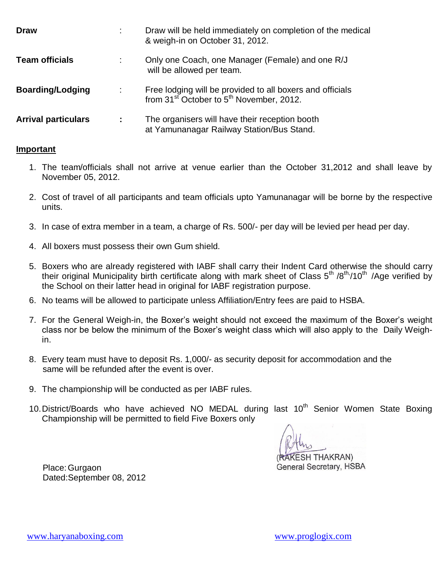| <b>Draw</b>                |   | Draw will be held immediately on completion of the medical<br>& weigh-in on October 31, 2012.                                 |
|----------------------------|---|-------------------------------------------------------------------------------------------------------------------------------|
| <b>Team officials</b>      |   | Only one Coach, one Manager (Female) and one R/J<br>will be allowed per team.                                                 |
| <b>Boarding/Lodging</b>    | ÷ | Free lodging will be provided to all boxers and officials<br>from 31 <sup>st</sup> October to 5 <sup>th</sup> November, 2012. |
| <b>Arrival particulars</b> |   | The organisers will have their reception booth<br>at Yamunanagar Railway Station/Bus Stand.                                   |

### **Important**

- 1. The team/officials shall not arrive at venue earlier than the October 31,2012 and shall leave by November 05, 2012.
- 2. Cost of travel of all participants and team officials upto Yamunanagar will be borne by the respective units.
- 3. In case of extra member in a team, a charge of Rs. 500/- per day will be levied per head per day.
- 4. All boxers must possess their own Gum shield.
- 5. Boxers who are already registered with IABF shall carry their Indent Card otherwise the should carry their original Municipality birth certificate along with mark sheet of Class 5<sup>th</sup> /8<sup>th,</sup>/10<sup>th</sup> /Age verified by the School on their latter head in original for IABF registration purpose.
- 6. No teams will be allowed to participate unless Affiliation/Entry fees are paid to HSBA.
- 7. For the General Weigh-in, the Boxer's weight should not exceed the maximum of the Boxer's weight class nor be below the minimum of the Boxer's weight class which will also apply to the Daily Weighin.
- 8. Every team must have to deposit Rs. 1,000/- as security deposit for accommodation and the same will be refunded after the event is over.
- 9. The championship will be conducted as per IABF rules.
- 10. District/Boards who have achieved NO MEDAL during last 10<sup>th</sup> Senior Women State Boxing Championship will be permitted to field Five Boxers only

**ESH THAKRAN)** General Secretary, HSBA

 Place:Gurgaon Dated:September 08, 2012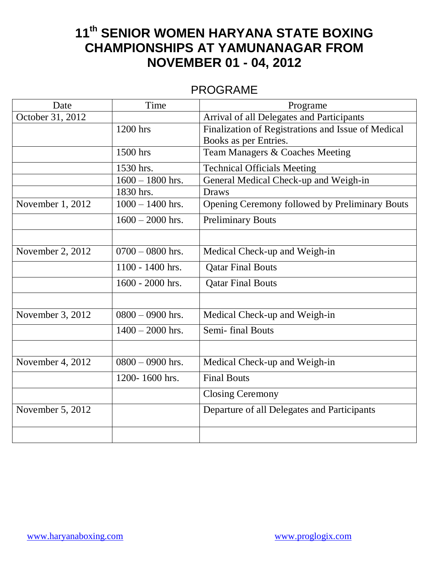# **11th SENIOR WOMEN HARYANA STATE BOXING CHAMPIONSHIPS AT YAMUNANAGAR FROM NOVEMBER 01 - 04, 2012**

## PROGRAME

| Date             | Time               | Programe                                           |  |
|------------------|--------------------|----------------------------------------------------|--|
| October 31, 2012 |                    | Arrival of all Delegates and Participants          |  |
|                  | 1200 hrs           | Finalization of Registrations and Issue of Medical |  |
|                  |                    | Books as per Entries.                              |  |
|                  | 1500 hrs           | Team Managers & Coaches Meeting                    |  |
|                  | 1530 hrs.          | <b>Technical Officials Meeting</b>                 |  |
|                  | $1600 - 1800$ hrs. | General Medical Check-up and Weigh-in              |  |
|                  | 1830 hrs.          | <b>Draws</b>                                       |  |
| November 1, 2012 | $1000 - 1400$ hrs. | Opening Ceremony followed by Preliminary Bouts     |  |
|                  | $1600 - 2000$ hrs. | <b>Preliminary Bouts</b>                           |  |
|                  |                    |                                                    |  |
| November 2, 2012 | $0700 - 0800$ hrs. | Medical Check-up and Weigh-in                      |  |
|                  | 1100 - 1400 hrs.   | <b>Qatar Final Bouts</b>                           |  |
|                  | 1600 - 2000 hrs.   | <b>Qatar Final Bouts</b>                           |  |
|                  |                    |                                                    |  |
| November 3, 2012 | $0800 - 0900$ hrs. | Medical Check-up and Weigh-in                      |  |
|                  | $1400 - 2000$ hrs. | Semi-final Bouts                                   |  |
|                  |                    |                                                    |  |
| November 4, 2012 | $0800 - 0900$ hrs. | Medical Check-up and Weigh-in                      |  |
|                  | 1200-1600 hrs.     | <b>Final Bouts</b>                                 |  |
|                  |                    | <b>Closing Ceremony</b>                            |  |
| November 5, 2012 |                    | Departure of all Delegates and Participants        |  |
|                  |                    |                                                    |  |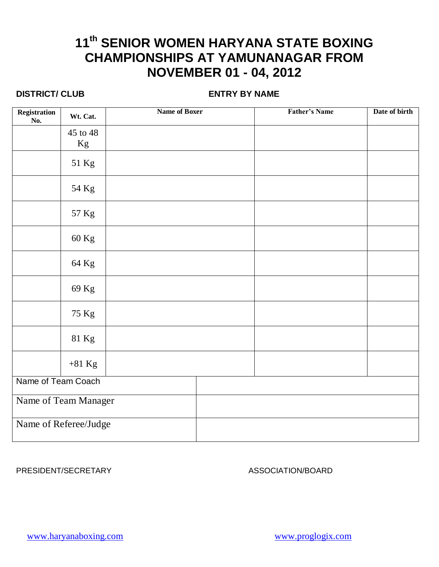# **11th SENIOR WOMEN HARYANA STATE BOXING CHAMPIONSHIPS AT YAMUNANAGAR FROM NOVEMBER 01 - 04, 2012**

## **DISTRICT/ CLUB ENTRY BY NAME**

| Registration<br>No.   | Wt. Cat.       | <b>Name of Boxer</b> | <b>Father's Name</b> | Date of birth |
|-----------------------|----------------|----------------------|----------------------|---------------|
|                       | 45 to 48<br>Kg |                      |                      |               |
|                       | 51 Kg          |                      |                      |               |
|                       | 54 Kg          |                      |                      |               |
|                       | 57 Kg          |                      |                      |               |
|                       | 60 Kg          |                      |                      |               |
|                       | 64 Kg          |                      |                      |               |
|                       | 69 Kg          |                      |                      |               |
|                       | 75 Kg          |                      |                      |               |
|                       | 81 Kg          |                      |                      |               |
|                       | $+81$ Kg       |                      |                      |               |
| Name of Team Coach    |                |                      |                      |               |
| Name of Team Manager  |                |                      |                      |               |
| Name of Referee/Judge |                |                      |                      |               |

PRESIDENT/SECRETARY ASSOCIATION/BOARD